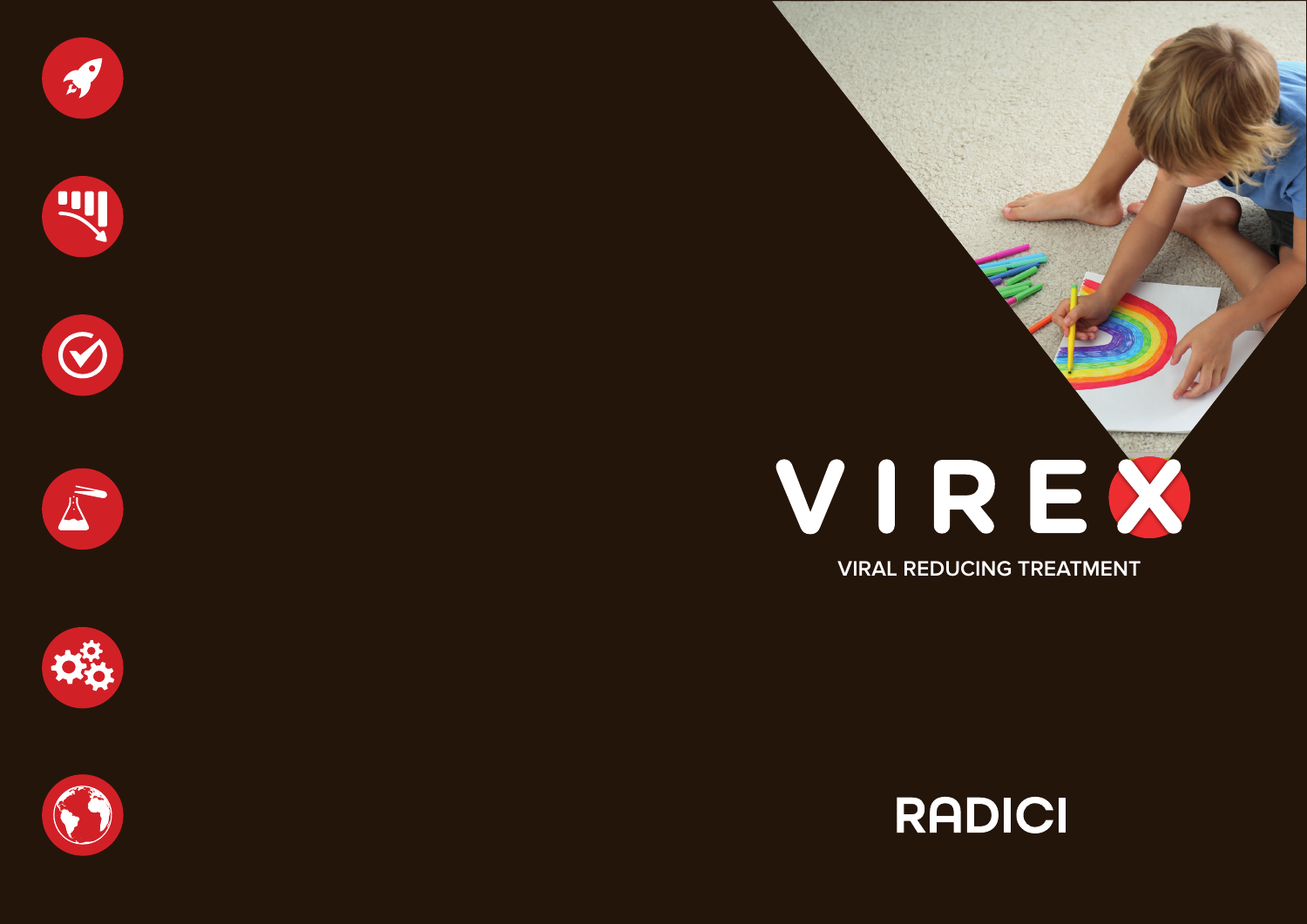











# VIREX

**VIRAL REDUCING TREATMENT**

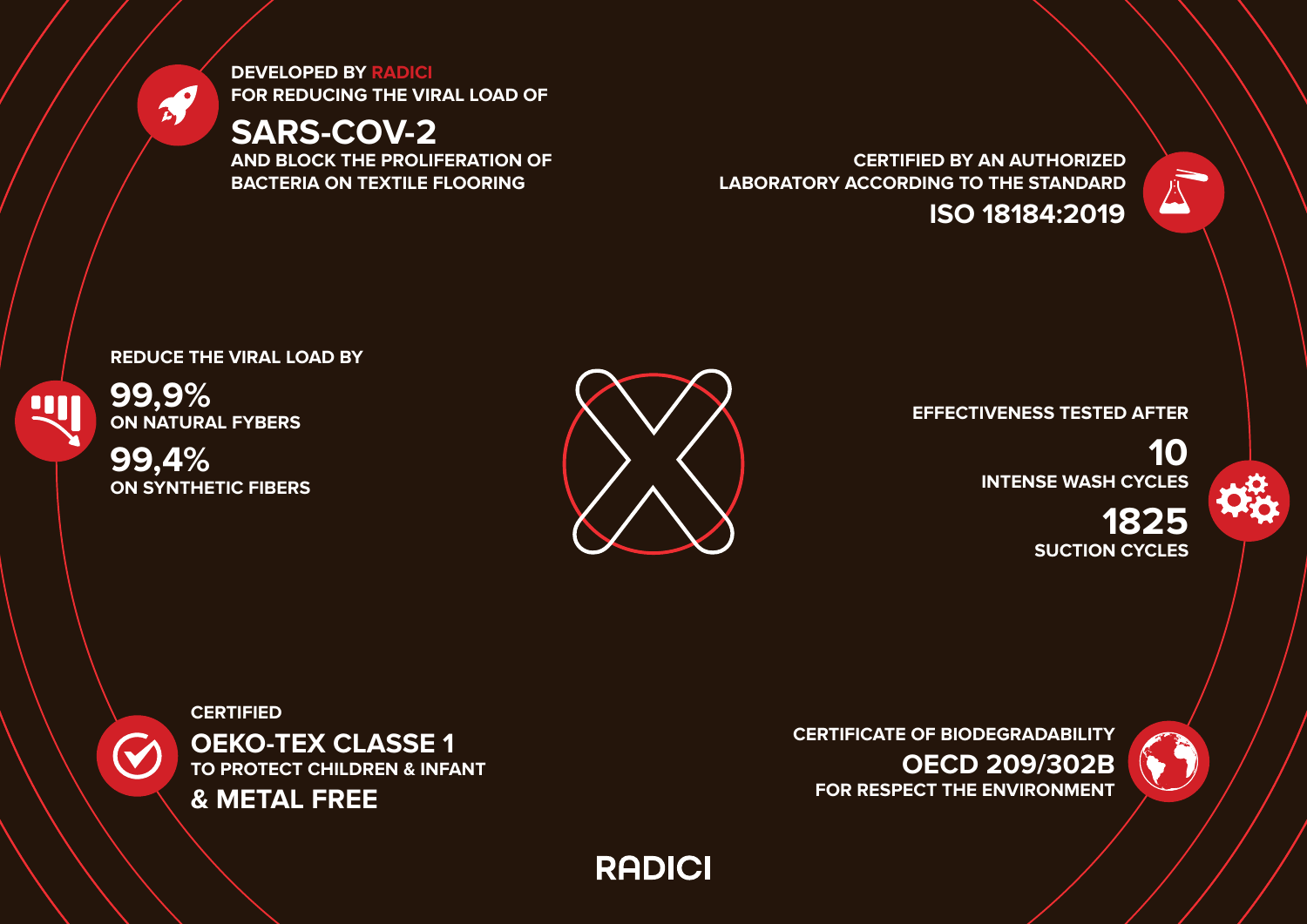**DEVELOPED BY RADICI FOR REDUCING THE VIRAL LOAD OF** 

# **SARS-COV-2**

**AND BLOCK THE PROLIFERATION OF BACTERIA ON TEXTILE FLOORING**

**CERTIFIED BY AN AUTHORIZED LABORATORY ACCORDING TO THE STANDARD ISO 18184:2019**



**99,9% ON NATURAL FYBERS**

**TIL** 

 $\mathcal{L}$ 

**99,4% ON SYNTHETIC FIBERS**

 $\blacktriangledown$ 



### **EFFECTIVENESS TESTED AFTER**

**10 INTENSE WASH CYCLES**

**1825 SUCTION CYCLES**



**CERTIFIED OEKO-TEX CLASSE 1 TO PROTECT CHILDREN & INFANT**



**CERTIFICATE OF BIODEGRADABILITY OECD 209/302B FOR RESPECT THE ENVIRONMENT**



**RADICI**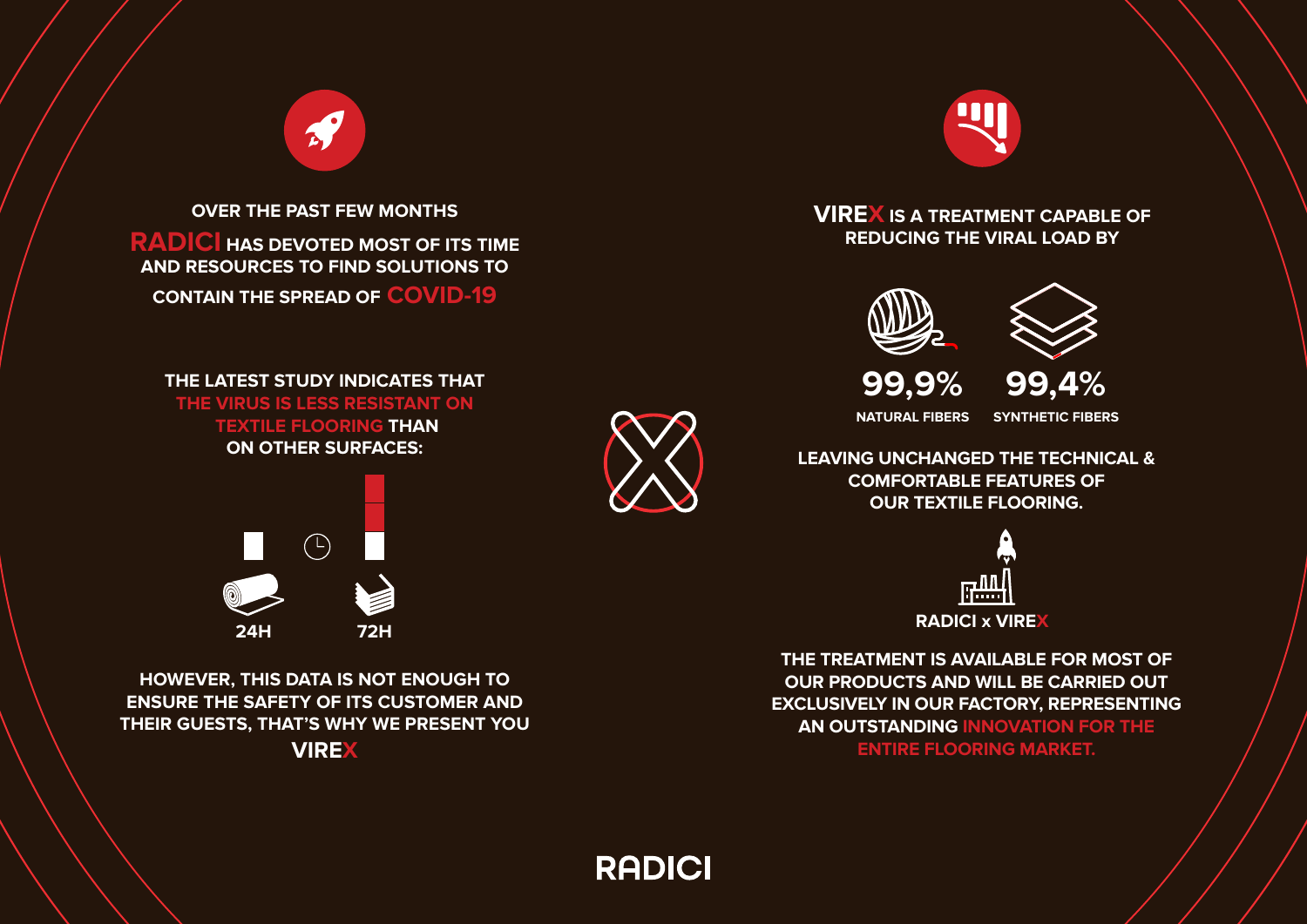**OVER THE PAST FEW MONTHS RADICI HAS DEVOTED MOST OF ITS TIME AND RESOURCES TO FIND SOLUTIONS TO CONTAIN THE SPREAD OF COVID-19**

 $\mathcal{L}$ 

**THE LATEST STUDY INDICATES THAT THE VIRUS IS LESS RESISTANT ON TEXTILE FLOORING THAN ON OTHER SURFACES:** 



**HOWEVER, THIS DATA IS NOT ENOUGH TO ENSURE THE SAFETY OF ITS CUSTOMER AND THEIR GUESTS, THAT'S WHY WE PRESENT YOU VIREX** 



**VIREX IS A TREATMENT CAPABLE OF REDUCING THE VIRAL LOAD BY**





**99,9% 99,4%**

**NATURAL FIBERS SYNTHETIC FIBERS**

**LEAVING UNCHANGED THE TECHNICAL & COMFORTABLE FEATURES OF OUR TEXTILE FLOORING.** 



**THE TREATMENT IS AVAILABLE FOR MOST OF OUR PRODUCTS AND WILL BE CARRIED OUT EXCLUSIVELY IN OUR FACTORY, REPRESENTING AN OUTSTANDING INNOVATION FOR THE ENTIRE FLOORING MARKET.**

**RADICI**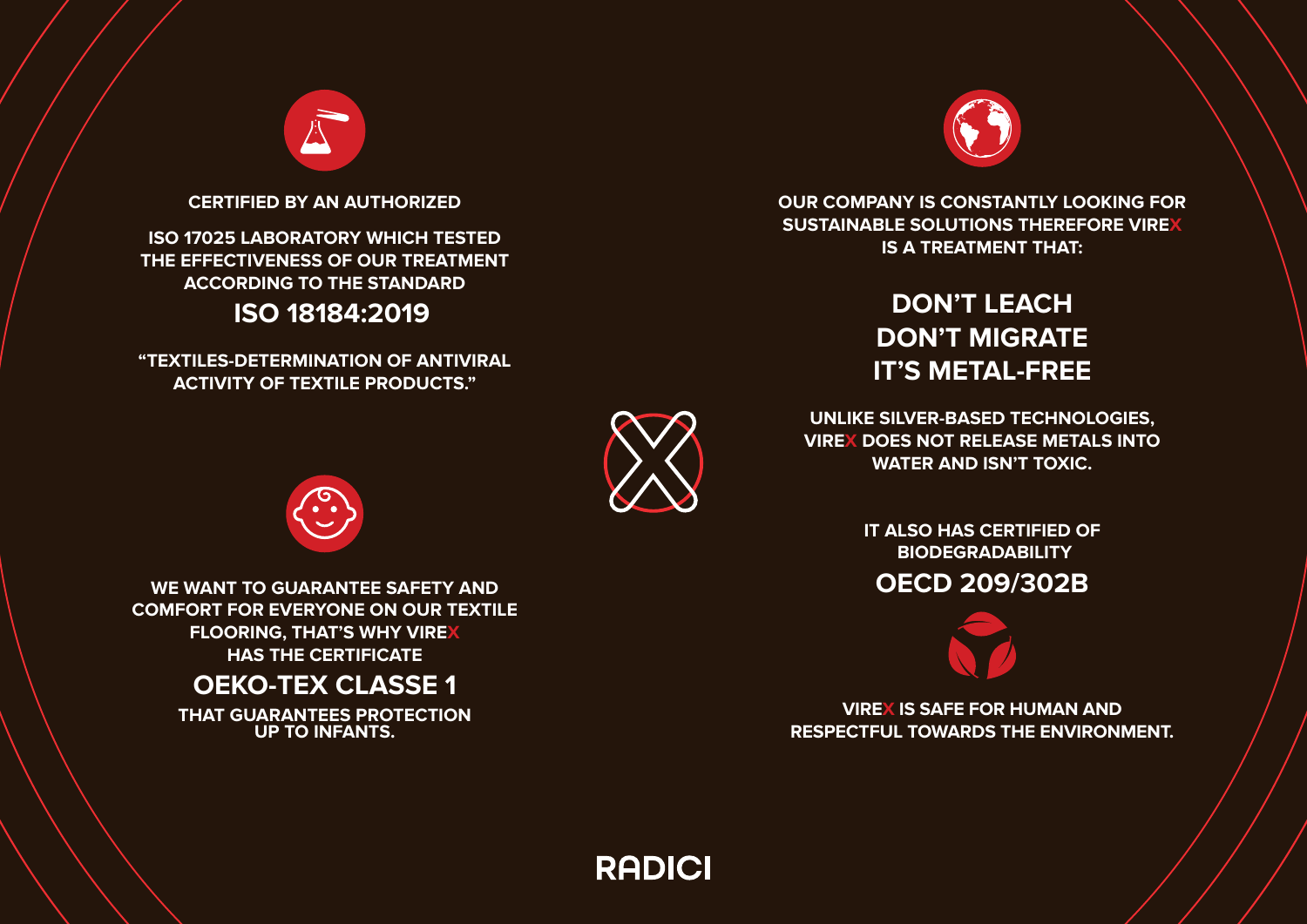

**CERTIFIED BY AN AUTHORIZED** 

**ISO 17025 LABORATORY WHICH TESTED THE EFFECTIVENESS OF OUR TREATMENT ACCORDING TO THE STANDARD**

 **ISO 18184:2019**

**"TEXTILES-DETERMINATION OF ANTIVIRAL ACTIVITY OF TEXTILE PRODUCTS."**



**OUR COMPANY IS CONSTANTLY LOOKING FOR SUSTAINABLE SOLUTIONS THEREFORE VIREX IS A TREATMENT THAT:**

# **DON'T LEACH DON'T MIGRATE IT'S METAL-FREE**

**UNLIKE SILVER-BASED TECHNOLOGIES, VIREX DOES NOT RELEASE METALS INTO WATER AND ISN'T TOXIC.**

> **IT ALSO HAS CERTIFIED OF BIODEGRADABILITY**

**OECD 209/302B** 



**VIREX IS SAFE FOR HUMAN AND RESPECTFUL TOWARDS THE ENVIRONMENT.**

**RADICI** 



**WE WANT TO GUARANTEE SAFETY AND COMFORT FOR EVERYONE ON OUR TEXTILE FLOORING, THAT'S WHY VIREX HAS THE CERTIFICATE**

# **OEKO-TEX CLASSE 1**

**THAT GUARANTEES PROTECTION UP TO INFANTS.**